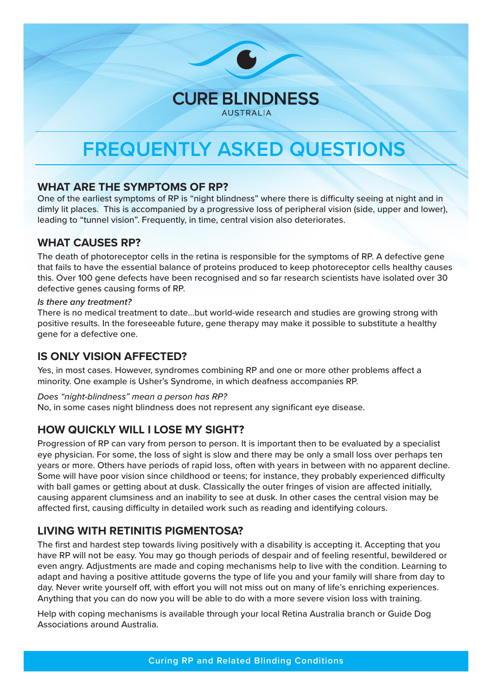# **FREQUENTLY ASKED QUESTIONS**

**CURE BLINDNESS AUSTRALIA** 

#### **WHAT ARE THE SYMPTOMS OF RP?**

One of the earliest symptoms of RP is "night blindness" where there is difficulty seeing at night and in dimly lit places. This is accompanied by a progressive loss of peripheral vision (side, upper and lower), leading to "tunnel vision". Frequently, in time, central vision also deteriorates.

#### **WHAT CAUSES RP?**

The death of photoreceptor cells in the retina is responsible for the symptoms of RP. A defective gene that fails to have the essential balance of proteins produced to keep photoreceptor cells healthy causes this. Over 100 gene defects have been recognised and so far research scientists have isolated over 30 defective genes causing forms of RP.

#### *Is there any treatment?*

There is no medical treatment to date...but world-wide research and studies are growing strong with positive results. In the foreseeable future, gene therapy may make it possible to substitute a healthy gene for a defective one.

### **IS ONLY VISION AFFECTED?**

Yes, in most cases. However, syndromes combining RP and one or more other problems affect a minority. One example is Usher's Syndrome, in which deafness accompanies RP.

#### *Does "night-blindness" mean a person has RP?*

No, in some cases night blindness does not represent any significant eye disease.

### **HOW QUICKLY WILL I LOSE MY SIGHT?**

Progression of RP can vary from person to person. It is important then to be evaluated by a specialist eye physician. For some, the loss of sight is slow and there may be only a small loss over perhaps ten years or more. Others have periods of rapid loss, often with years in between with no apparent decline. Some will have poor vision since childhood or teens; for instance, they probably experienced difficulty with ball games or getting about at dusk. Classically the outer fringes of vision are affected initially, causing apparent clumsiness and an inability to see at dusk. In other cases the central vision may be affected first, causing difficulty in detailed work such as reading and identifying colours.

## **LIVING WITH RETINITIS PIGMENTOSA?**

The first and hardest step towards living positively with a disability is accepting it. Accepting that you have RP will not be easy. You may go though periods of despair and of feeling resentful, bewildered or even angry. Adjustments are made and coping mechanisms help to live with the condition. Learning to adapt and having a positive attitude governs the type of life you and your family will share from day to day. Never write yourself off, with effort you will not miss out on many of life's enriching experiences. Anything that you can do now you will be able to do with a more severe vision loss with training.

Help with coping mechanisms is available through your local Retina Australia branch or Guide Dog Associations around Australia.